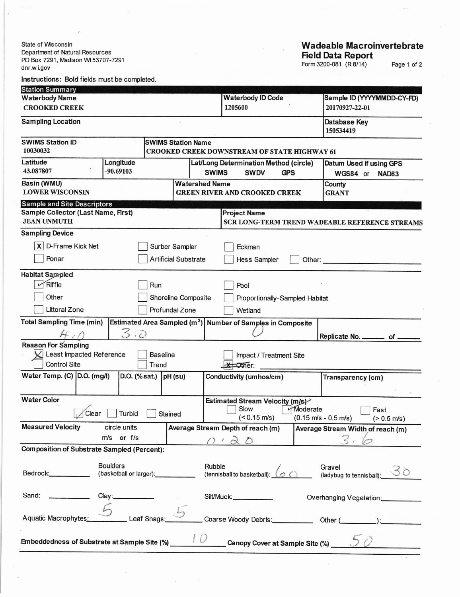State of Wisconsin Department of Natural Resources<br>PO Box 7291, Madison WI 53707-7291 dnr.w i.gov

## **Wadeable Macroinvertebrate** Field Data Report<br>Form 3200-081 (R 8/14)

Page 1 of 2

| Instructions: Bold fields must be completed.              |                                                   |                         |                             |              |                                                                     |               |                                                         |
|-----------------------------------------------------------|---------------------------------------------------|-------------------------|-----------------------------|--------------|---------------------------------------------------------------------|---------------|---------------------------------------------------------|
| <b>Station Summary</b>                                    |                                                   |                         |                             |              |                                                                     |               |                                                         |
| <b>Waterbody Name</b>                                     |                                                   |                         |                             |              | <b>Waterbody ID Code</b>                                            |               | Sample ID (YYYYMMDD-CY-FD)                              |
| 1205600<br><b>CROOKED CREEK</b>                           |                                                   |                         |                             |              | 20170927-22-01                                                      |               |                                                         |
| <b>Sampling Location</b>                                  |                                                   |                         |                             |              |                                                                     |               | Database Key<br>150534419                               |
| <b>SWIMS Station ID</b>                                   |                                                   |                         | <b>SWIMS Station Name</b>   |              |                                                                     |               |                                                         |
| 10030032                                                  |                                                   |                         |                             |              | CROOKED CREEK DOWNSTREAM OF STATE HIGHWAY 61                        |               |                                                         |
| Latitude<br>43.087807                                     | Longitude<br>$-90.69103$                          |                         |                             | <b>SWIMS</b> | Lat/Long Determination Method (circle)<br><b>SWDV</b><br><b>GPS</b> |               | Datum Used if using GPS<br>WGS84 or<br>NAD83            |
| Basin (WMU)<br><b>LOWER WISCONSIN</b>                     |                                                   |                         | <b>Watershed Name</b>       |              | <b>GREEN RIVER AND CROOKED CREEK</b>                                |               | County<br><b>GRANT</b>                                  |
| <b>Sample and Site Descriptors</b>                        |                                                   |                         |                             |              |                                                                     |               |                                                         |
| Sample Collector (Last Name, First)<br><b>JEAN UNMUTH</b> |                                                   |                         |                             |              | <b>Project Name</b>                                                 |               | SCR LONG-TERM TREND WADEABLE REFERENCE STREAMS          |
| <b>Sampling Device</b>                                    |                                                   |                         |                             |              |                                                                     |               |                                                         |
| X D-Frame Kick Net                                        |                                                   | Surber Sampler          |                             |              | Eckman                                                              |               |                                                         |
| Ponar                                                     |                                                   |                         | <b>Artificial Substrate</b> |              | Hess Sampler                                                        | Other: $\_\_$ |                                                         |
| <b>Habitat Sampled</b>                                    |                                                   |                         |                             |              |                                                                     |               |                                                         |
| Riffle                                                    |                                                   | Run                     |                             |              | Pool                                                                |               |                                                         |
| Other                                                     |                                                   |                         | Shoreline Composite         |              | Proportionally-Sampled Habitat                                      |               |                                                         |
| Littoral Zone                                             |                                                   | Profundal Zone          |                             |              | Wetland                                                             |               |                                                         |
| <b>Total Sampling Time (min)</b>                          | Estimated Area Sampled (m <sup>2</sup> )          |                         |                             |              | <b>Number of Samples in Composite</b>                               |               |                                                         |
|                                                           | 3.5                                               |                         |                             |              |                                                                     |               | Replicate No. __________ of _                           |
| <b>Reason For Sampling</b>                                |                                                   |                         |                             |              |                                                                     |               |                                                         |
| Least Impacted Reference                                  |                                                   | <b>Baseline</b>         |                             |              | Impact / Treatment Site                                             |               |                                                         |
| <b>Control Site</b>                                       |                                                   | Trend                   |                             |              | $\star$ Other:                                                      |               |                                                         |
| Water Temp. (C) D.O. (mg/l)                               |                                                   | D.O. (% sat.) $pH$ (su) |                             |              | Conductivity (umhos/cm)                                             |               | Transparency (cm)                                       |
|                                                           |                                                   |                         |                             |              |                                                                     |               |                                                         |
| <b>Water Color</b>                                        |                                                   |                         |                             |              | Estimated Stream Velocity (m/s)                                     |               |                                                         |
| Clear                                                     | Turbid                                            | Stained                 |                             |              | $\Box$ Slow<br>$($ < 0.15 m/s)                                      | Moderate      | $\vert$ Fast                                            |
| <b>Measured Velocity</b>                                  | circle units                                      |                         |                             |              | Average Stream Depth of reach (m)                                   |               | $(0.15 \text{ m/s} - 0.5 \text{ m/s})$<br>$(> 0.5$ m/s) |
|                                                           | m/s or f/s                                        |                         |                             |              |                                                                     |               | Average Stream Width of reach (m)                       |
| <b>Composition of Substrate Sampled (Percent):</b>        |                                                   |                         |                             |              | $\mathcal{L}$<br>- 0                                                |               | .Z.                                                     |
|                                                           |                                                   |                         |                             |              |                                                                     |               |                                                         |
| Bedrock:_____________                                     | <b>Boulders</b><br>(basketball or larger): [1992] |                         |                             | Rubble       | (tennisball to basketball): $\bigcirc$ (                            |               | Gravel<br>Gravel<br>(ladybug to tennisball):__<br>30    |
| Sand:                                                     | Clay:___________                                  |                         |                             |              | Silt/Muck:____________                                              |               | Overhanging Vegetation:                                 |
| Aquatic Macrophytes:                                      | Leaf Snags:                                       |                         |                             |              |                                                                     |               |                                                         |
|                                                           |                                                   |                         |                             |              |                                                                     |               |                                                         |
| Embeddedness of Substrate at Sample Site (%)              |                                                   |                         |                             |              | Canopy Cover at Sample Site (%)                                     |               |                                                         |